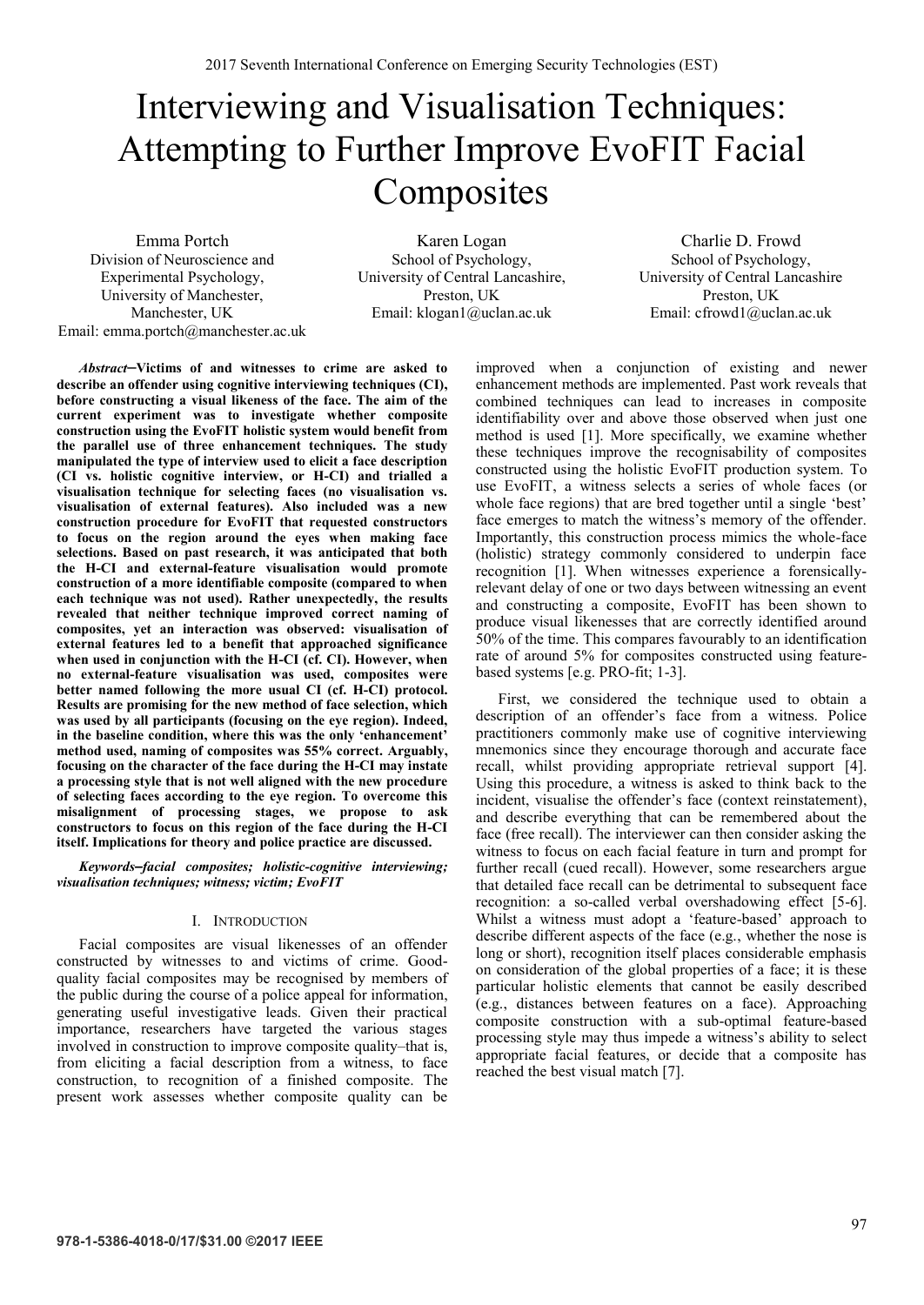# Interviewing and Visualisation Techniques: Attempting to Further Improve EvoFIT Facial **Composites**

Emma Portch Division of Neuroscience and Experimental Psychology, University of Manchester, Manchester, UK Email: emma.portch@manchester.ac.uk

Karen Logan School of Psychology, University of Central Lancashire, Preston, UK Email: klogan1@uclan.ac.uk

Charlie D. Frowd School of Psychology, University of Central Lancashire Preston, UK Email: cfrowd1@uclan.ac.uk

*Abstract*—**Victims of and witnesses to crime are asked to describe an offender using cognitive interviewing techniques (CI), before constructing a visual likeness of the face. The aim of the current experiment was to investigate whether composite construction using the EvoFIT holistic system would benefit from the parallel use of three enhancement techniques. The study manipulated the type of interview used to elicit a face description (CI vs. holistic cognitive interview, or H-CI) and trialled a visualisation technique for selecting faces (no visualisation vs. visualisation of external features). Also included was a new construction procedure for EvoFIT that requested constructors to focus on the region around the eyes when making face selections. Based on past research, it was anticipated that both the H-CI and external-feature visualisation would promote construction of a more identifiable composite (compared to when each technique was not used). Rather unexpectedly, the results revealed that neither technique improved correct naming of composites, yet an interaction was observed: visualisation of external features led to a benefit that approached significance when used in conjunction with the H-CI (cf. CI). However, when no external-feature visualisation was used, composites were better named following the more usual CI (cf. H-CI) protocol. Results are promising for the new method of face selection, which was used by all participants (focusing on the eye region). Indeed, in the baseline condition, where this was the only 'enhancement' method used, naming of composites was 55% correct. Arguably, focusing on the character of the face during the H-CI may instate a processing style that is not well aligned with the new procedure of selecting faces according to the eye region. To overcome this misalignment of processing stages, we propose to ask constructors to focus on this region of the face during the H-CI itself. Implications for theory and police practice are discussed.**

*Keywords—facial composites; holistic-cognitive interviewing; visualisation techniques; witness; victim; EvoFIT*

# I. INTRODUCTION

Facial composites are visual likenesses of an offender constructed by witnesses to and victims of crime. Goodquality facial composites may be recognised by members of the public during the course of a police appeal for information, generating useful investigative leads. Given their practical importance, researchers have targeted the various stages involved in construction to improve composite quality–that is, from eliciting a facial description from a witness, to face construction, to recognition of a finished composite. The present work assesses whether composite quality can be

improved when a conjunction of existing and newer enhancement methods are implemented. Past work reveals that combined techniques can lead to increases in composite identifiability over and above those observed when just one method is used [1]. More specifically, we examine whether these techniques improve the recognisability of composites constructed using the holistic EvoFIT production system. To use EvoFIT, a witness selects a series of whole faces (or whole face regions) that are bred together until a single 'best' face emerges to match the witness's memory of the offender. Importantly, this construction process mimics the whole-face (holistic) strategy commonly considered to underpin face recognition [1]. When witnesses experience a forensicallyrelevant delay of one or two days between witnessing an event and constructing a composite, EvoFIT has been shown to produce visual likenesses that are correctly identified around 50% of the time. This compares favourably to an identification rate of around 5% for composites constructed using featurebased systems [e.g. PRO-fit; 1-3].

First, we considered the technique used to obtain a description of an offender's face from a witness. Police practitioners commonly make use of cognitive interviewing mnemonics since they encourage thorough and accurate face recall, whilst providing appropriate retrieval support [4]. Using this procedure, a witness is asked to think back to the incident, visualise the offender's face (context reinstatement), and describe everything that can be remembered about the face (free recall). The interviewer can then consider asking the witness to focus on each facial feature in turn and prompt for further recall (cued recall). However, some researchers argue that detailed face recall can be detrimental to subsequent face recognition: a so-called verbal overshadowing effect [5-6]. Whilst a witness must adopt a 'feature-based' approach to describe different aspects of the face (e.g., whether the nose is long or short), recognition itself places considerable emphasis on consideration of the global properties of a face; it is these particular holistic elements that cannot be easily described (e.g., distances between features on a face). Approaching composite construction with a sub-optimal feature-based processing style may thus impede a witness's ability to select appropriate facial features, or decide that a composite has reached the best visual match [7].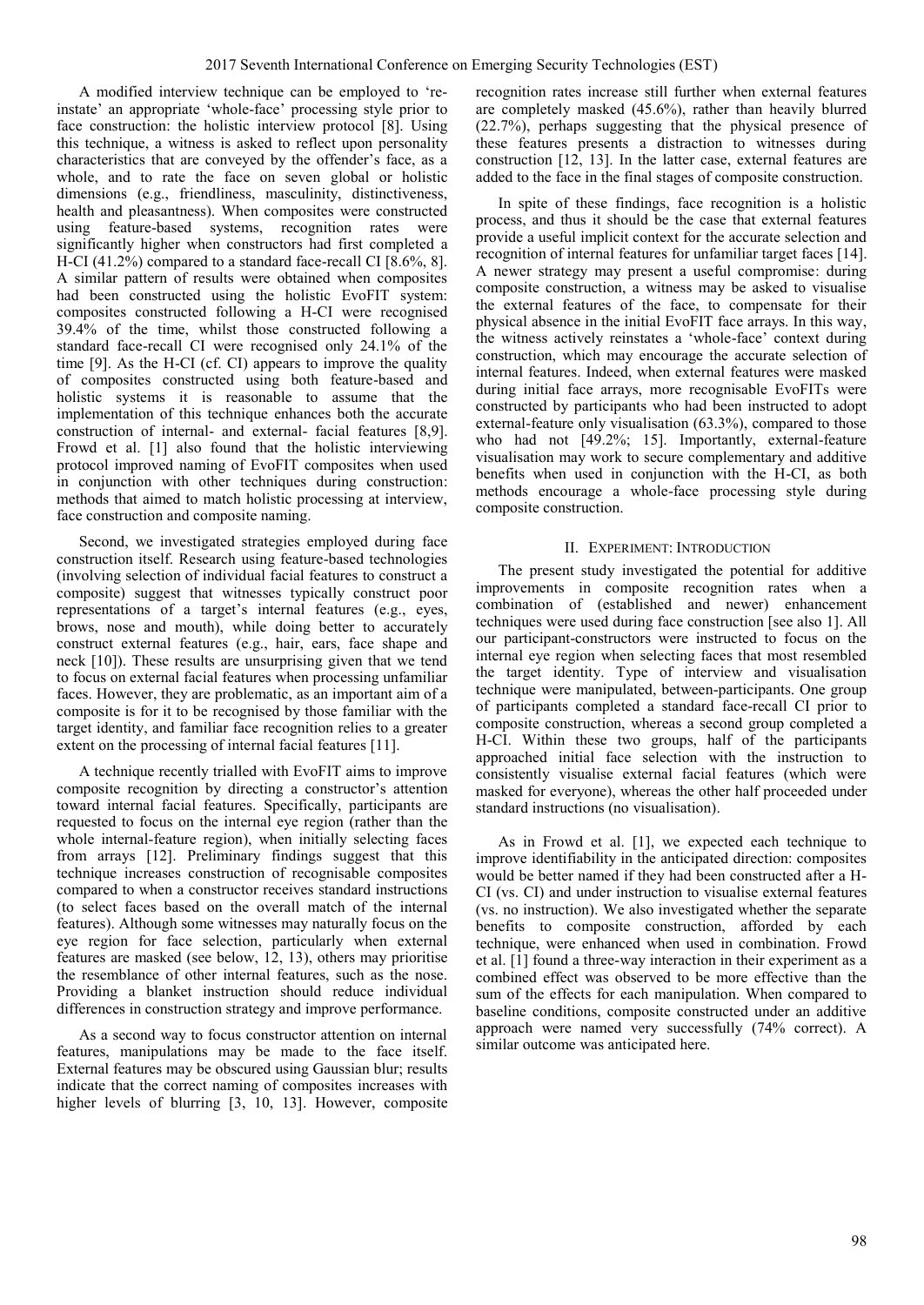A modified interview technique can be employed to 'reinstate' an appropriate 'whole-face' processing style prior to face construction: the holistic interview protocol [8]. Using this technique, a witness is asked to reflect upon personality characteristics that are conveyed by the offender's face, as a whole, and to rate the face on seven global or holistic dimensions (e.g., friendliness, masculinity, distinctiveness, health and pleasantness). When composites were constructed using feature-based systems, recognition rates were significantly higher when constructors had first completed a H-CI (41.2%) compared to a standard face-recall CI  $[8.6\%, 8]$ . A similar pattern of results were obtained when composites had been constructed using the holistic EvoFIT system: composites constructed following a H-CI were recognised 39.4% of the time, whilst those constructed following a standard face-recall CI were recognised only 24.1% of the time [9]. As the H-CI (cf. CI) appears to improve the quality of composites constructed using both feature-based and holistic systems it is reasonable to assume that the implementation of this technique enhances both the accurate construction of internal- and external- facial features [8,9]. Frowd et al. [1] also found that the holistic interviewing protocol improved naming of EvoFIT composites when used in conjunction with other techniques during construction: methods that aimed to match holistic processing at interview, face construction and composite naming.

Second, we investigated strategies employed during face construction itself. Research using feature-based technologies (involving selection of individual facial features to construct a composite) suggest that witnesses typically construct poor representations of a target's internal features (e.g., eyes, brows, nose and mouth), while doing better to accurately construct external features (e.g., hair, ears, face shape and neck [10]). These results are unsurprising given that we tend to focus on external facial features when processing unfamiliar faces. However, they are problematic, as an important aim of a composite is for it to be recognised by those familiar with the target identity, and familiar face recognition relies to a greater extent on the processing of internal facial features [11].

A technique recently trialled with EvoFIT aims to improve composite recognition by directing a constructor's attention toward internal facial features. Specifically, participants are requested to focus on the internal eye region (rather than the whole internal-feature region), when initially selecting faces from arrays [12]. Preliminary findings suggest that this technique increases construction of recognisable composites compared to when a constructor receives standard instructions (to select faces based on the overall match of the internal features). Although some witnesses may naturally focus on the eye region for face selection, particularly when external features are masked (see below, 12, 13), others may prioritise the resemblance of other internal features, such as the nose. Providing a blanket instruction should reduce individual differences in construction strategy and improve performance.

As a second way to focus constructor attention on internal features, manipulations may be made to the face itself. External features may be obscured using Gaussian blur; results indicate that the correct naming of composites increases with higher levels of blurring [3, 10, 13]. However, composite recognition rates increase still further when external features are completely masked (45.6%), rather than heavily blurred (22.7%), perhaps suggesting that the physical presence of these features presents a distraction to witnesses during construction [12, 13]. In the latter case, external features are added to the face in the final stages of composite construction.

In spite of these findings, face recognition is a holistic process, and thus it should be the case that external features provide a useful implicit context for the accurate selection and recognition of internal features for unfamiliar target faces [14]. A newer strategy may present a useful compromise: during composite construction, a witness may be asked to visualise the external features of the face, to compensate for their physical absence in the initial EvoFIT face arrays. In this way, the witness actively reinstates a 'whole-face' context during construction, which may encourage the accurate selection of internal features. Indeed, when external features were masked during initial face arrays, more recognisable EvoFITs were constructed by participants who had been instructed to adopt external-feature only visualisation (63.3%), compared to those who had not [49.2%; 15]. Importantly, external-feature visualisation may work to secure complementary and additive benefits when used in conjunction with the H-CI, as both methods encourage a whole-face processing style during composite construction.

# II. EXPERIMENT: INTRODUCTION

The present study investigated the potential for additive improvements in composite recognition rates when a combination of (established and newer) enhancement techniques were used during face construction [see also 1]. All our participant-constructors were instructed to focus on the internal eye region when selecting faces that most resembled the target identity. Type of interview and visualisation technique were manipulated, between-participants. One group of participants completed a standard face-recall CI prior to composite construction, whereas a second group completed a H-CI. Within these two groups, half of the participants approached initial face selection with the instruction to consistently visualise external facial features (which were masked for everyone), whereas the other half proceeded under standard instructions (no visualisation).

As in Frowd et al. [1], we expected each technique to improve identifiability in the anticipated direction: composites would be better named if they had been constructed after a H-CI (vs. CI) and under instruction to visualise external features (vs. no instruction). We also investigated whether the separate benefits to composite construction, afforded by each technique, were enhanced when used in combination. Frowd et al. [1] found a three-way interaction in their experiment as a combined effect was observed to be more effective than the sum of the effects for each manipulation. When compared to baseline conditions, composite constructed under an additive approach were named very successfully (74% correct). A similar outcome was anticipated here.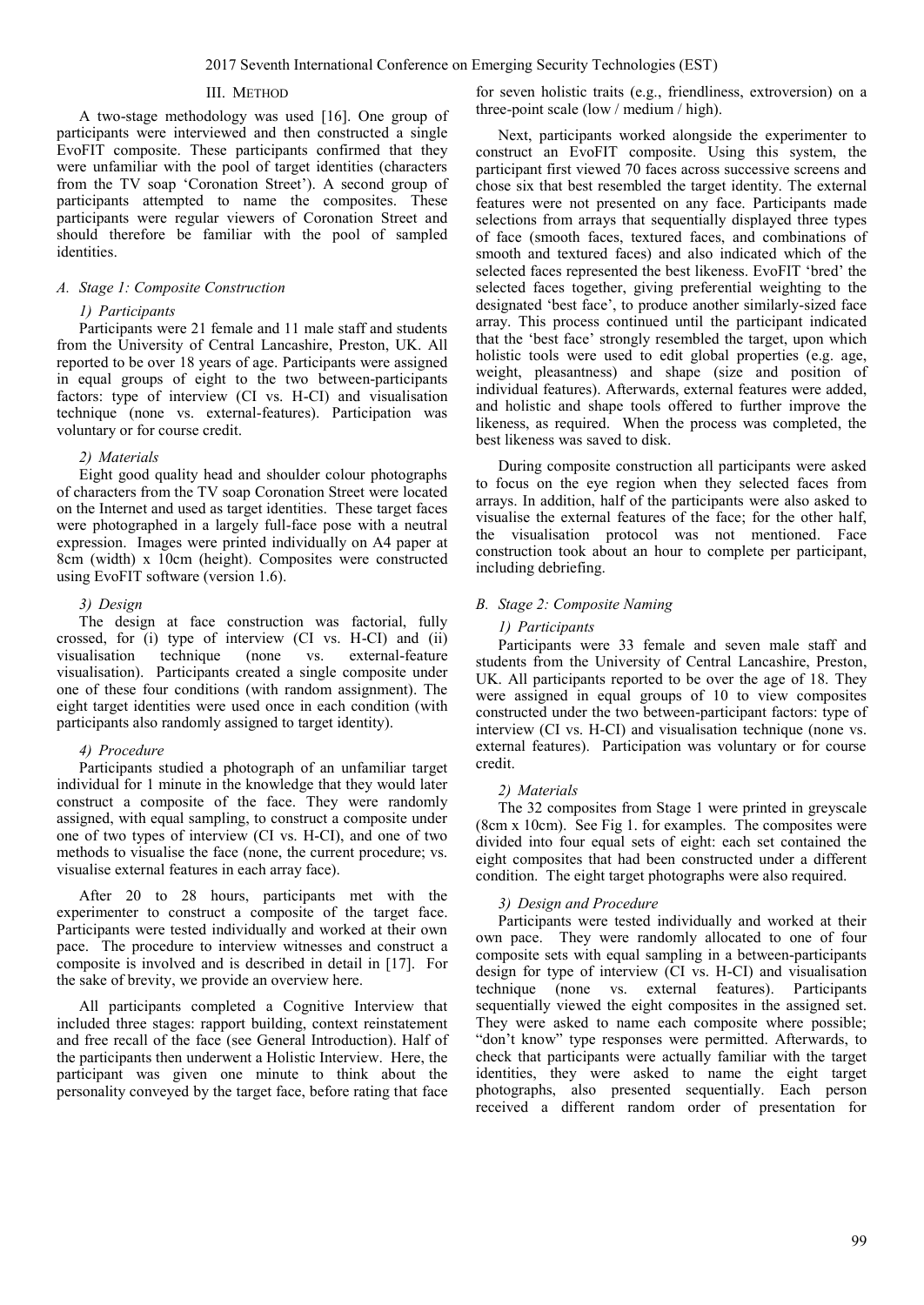# III. METHOD

A two-stage methodology was used [16]. One group of participants were interviewed and then constructed a single EvoFIT composite. These participants confirmed that they were unfamiliar with the pool of target identities (characters from the TV soap 'Coronation Street'). A second group of participants attempted to name the composites. These participants were regular viewers of Coronation Street and should therefore be familiar with the pool of sampled identities.

# *A. Stage 1: Composite Construction*

# *1) Participants*

Participants were 21 female and 11 male staff and students from the University of Central Lancashire, Preston, UK. All reported to be over 18 years of age. Participants were assigned in equal groups of eight to the two between-participants factors: type of interview (CI vs. H-CI) and visualisation technique (none vs. external-features). Participation was voluntary or for course credit.

### *2) Materials*

Eight good quality head and shoulder colour photographs of characters from the TV soap Coronation Street were located on the Internet and used as target identities. These target faces were photographed in a largely full-face pose with a neutral expression. Images were printed individually on A4 paper at 8cm (width) x 10cm (height). Composites were constructed using EvoFIT software (version 1.6).

# *3) Design*

The design at face construction was factorial, fully crossed, for (i) type of interview (CI vs. H-CI) and (ii) visualisation technique (none vs. external-feature visualisation). Participants created a single composite under one of these four conditions (with random assignment). The eight target identities were used once in each condition (with participants also randomly assigned to target identity).

#### *4) Procedure*

Participants studied a photograph of an unfamiliar target individual for 1 minute in the knowledge that they would later construct a composite of the face. They were randomly assigned, with equal sampling, to construct a composite under one of two types of interview (CI vs. H-CI), and one of two methods to visualise the face (none, the current procedure; vs. visualise external features in each array face).

After 20 to 28 hours, participants met with the experimenter to construct a composite of the target face. Participants were tested individually and worked at their own pace. The procedure to interview witnesses and construct a composite is involved and is described in detail in [17]. For the sake of brevity, we provide an overview here.

All participants completed a Cognitive Interview that included three stages: rapport building, context reinstatement and free recall of the face (see General Introduction). Half of the participants then underwent a Holistic Interview. Here, the participant was given one minute to think about the personality conveyed by the target face, before rating that face

for seven holistic traits (e.g., friendliness, extroversion) on a three-point scale (low / medium / high).

Next, participants worked alongside the experimenter to construct an EvoFIT composite. Using this system, the participant first viewed 70 faces across successive screens and chose six that best resembled the target identity. The external features were not presented on any face. Participants made selections from arrays that sequentially displayed three types of face (smooth faces, textured faces, and combinations of smooth and textured faces) and also indicated which of the selected faces represented the best likeness. EvoFIT 'bred' the selected faces together, giving preferential weighting to the designated 'best face', to produce another similarly-sized face array. This process continued until the participant indicated that the 'best face' strongly resembled the target, upon which holistic tools were used to edit global properties (e.g. age, weight, pleasantness) and shape (size and position of individual features). Afterwards, external features were added, and holistic and shape tools offered to further improve the likeness, as required. When the process was completed, the best likeness was saved to disk.

During composite construction all participants were asked to focus on the eye region when they selected faces from arrays. In addition, half of the participants were also asked to visualise the external features of the face; for the other half, the visualisation protocol was not mentioned. Face construction took about an hour to complete per participant, including debriefing.

# *B. Stage 2: Composite Naming*

#### *1) Participants*

Participants were 33 female and seven male staff and students from the University of Central Lancashire, Preston, UK. All participants reported to be over the age of 18. They were assigned in equal groups of 10 to view composites constructed under the two between-participant factors: type of interview (CI vs. H-CI) and visualisation technique (none vs. external features). Participation was voluntary or for course credit.

#### *2) Materials*

The 32 composites from Stage 1 were printed in greyscale (8cm x 10cm). See Fig 1. for examples. The composites were divided into four equal sets of eight: each set contained the eight composites that had been constructed under a different condition. The eight target photographs were also required.

# *3) Design and Procedure*

Participants were tested individually and worked at their own pace. They were randomly allocated to one of four composite sets with equal sampling in a between-participants design for type of interview (CI vs. H-CI) and visualisation technique (none vs. external features). Participants sequentially viewed the eight composites in the assigned set. They were asked to name each composite where possible; "don't know" type responses were permitted. Afterwards, to check that participants were actually familiar with the target identities, they were asked to name the eight target photographs, also presented sequentially. Each person received a different random order of presentation for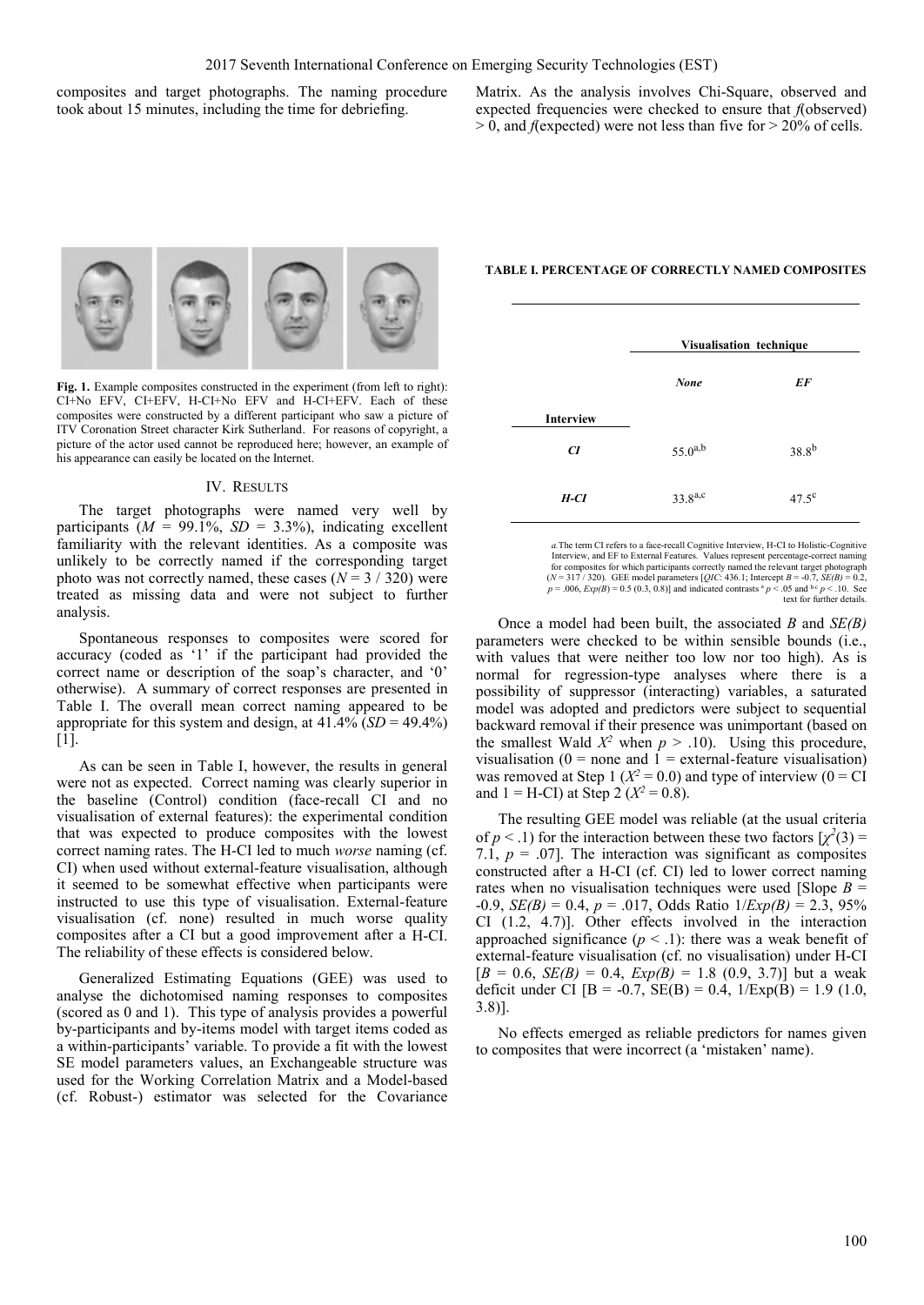composites and target photographs. The naming procedure took about 15 minutes, including the time for debriefing.

Matrix. As the analysis involves Chi-Square, observed and expected frequencies were checked to ensure that *f*(observed) > 0, and *f*(expected) were not less than five for > 20% of cells.



Fig. 1. Example composites constructed in the experiment (from left to right): CI+No EFV, CI+EFV, H-CI+No EFV and H-CI+EFV. Each of these composites were constructed by a different participant who saw a picture of ITV Coronation Street character Kirk Sutherland. For reasons of copyright, a picture of the actor used cannot be reproduced here; however, an example of his appearance can easily be located on the Internet.

#### IV. RESULTS

The target photographs were named very well by participants ( $M = 99.1\%$ ,  $SD = 3.3\%$ ), indicating excellent familiarity with the relevant identities. As a composite was unlikely to be correctly named if the corresponding target photo was not correctly named, these cases  $(N = 3 / 320)$  were treated as missing data and were not subject to further analysis.

Spontaneous responses to composites were scored for accuracy (coded as '1' if the participant had provided the correct name or description of the soap's character, and '0' otherwise). A summary of correct responses are presented in Table I. The overall mean correct naming appeared to be appropriate for this system and design, at  $41.4\%$  (*SD* =  $49.4\%$ ) [1].

As can be seen in Table I, however, the results in general were not as expected. Correct naming was clearly superior in the baseline (Control) condition (face-recall CI and no visualisation of external features): the experimental condition that was expected to produce composites with the lowest correct naming rates. The H-CI led to much *worse* naming (cf. CI) when used without external-feature visualisation, although it seemed to be somewhat effective when participants were instructed to use this type of visualisation. External-feature visualisation (cf. none) resulted in much worse quality composites after a CI but a good improvement after a H-CI. The reliability of these effects is considered below.

Generalized Estimating Equations (GEE) was used to analyse the dichotomised naming responses to composites (scored as 0 and 1). This type of analysis provides a powerful by-participants and by-items model with target items coded as a within-participants' variable. To provide a fit with the lowest SE model parameters values, an Exchangeable structure was used for the Working Correlation Matrix and a Model-based (cf. Robust-) estimator was selected for the Covariance **TABLE I. PERCENTAGE OF CORRECTLY NAMED COMPOSITES**

|                  | Visualisation technique |                |
|------------------|-------------------------|----------------|
|                  | <b>None</b>             | EF             |
| <b>Interview</b> |                         |                |
| CI               | $55.0^{a,b}$            | $38.8^{b}$     |
| H-CI             | $33.8^{a,c}$            | $47.5^{\circ}$ |

*a.*The term CI refers to a face-recall Cognitive Interview, H-CI to Holistic-Cognitive Interview, and EF to External Features. Values represent percentage-correct naming for composites for which participants correctly named the relevant target photograph ( $N = 317/320$ ). GEE model parameters [QIC: 436.1; Intercept  $B = 0.07$ ,  $SE(B) = 0.2$ ,  $\left(\frac{20}{5 \times 100}\right) = 0.2$ ;  $\left(\frac{20}{5 \times 100}\right) = 0.2$ ; text for further details.

Once a model had been built, the associated *B* and *SE(B)* parameters were checked to be within sensible bounds (i.e., with values that were neither too low nor too high). As is normal for regression-type analyses where there is a possibility of suppressor (interacting) variables, a saturated model was adopted and predictors were subject to sequential backward removal if their presence was unimportant (based on the smallest Wald  $X^2$  when  $p > .10$ ). Using this procedure, visualisation ( $0 =$  none and  $1 =$  external-feature visualisation) was removed at Step 1 ( $X^2 = 0.0$ ) and type of interview ( $0 = \overline{CI}$ and  $1 = H-CI$ ) at Step 2 ( $X^2 = 0.8$ ).

The resulting GEE model was reliable (at the usual criteria of  $p < 0.1$ ) for the interaction between these two factors  $[\chi^2(3)] =$ 7.1,  $p = .07$ ]. The interaction was significant as composites constructed after a H-CI (cf. CI) led to lower correct naming rates when no visualisation techniques were used [Slope  $B =$ -0.9, *SE(B)* = 0.4, *p* = .017, Odds Ratio 1/*Exp(B)* = 2.3, 95% CI (1.2, 4.7)]. Other effects involved in the interaction approached significance  $(p < 0.1)$ : there was a weak benefit of external-feature visualisation (cf. no visualisation) under H-CI  $[B = 0.6, SE(B) = 0.4, Exp(B) = 1.8 (0.9, 3.7)]$  but a weak deficit under CI  $[B = -0.7, SE(B) = 0.4, 1/Exp(B) = 1.9$  (1.0, 3.8)].

No effects emerged as reliable predictors for names given to composites that were incorrect (a 'mistaken' name).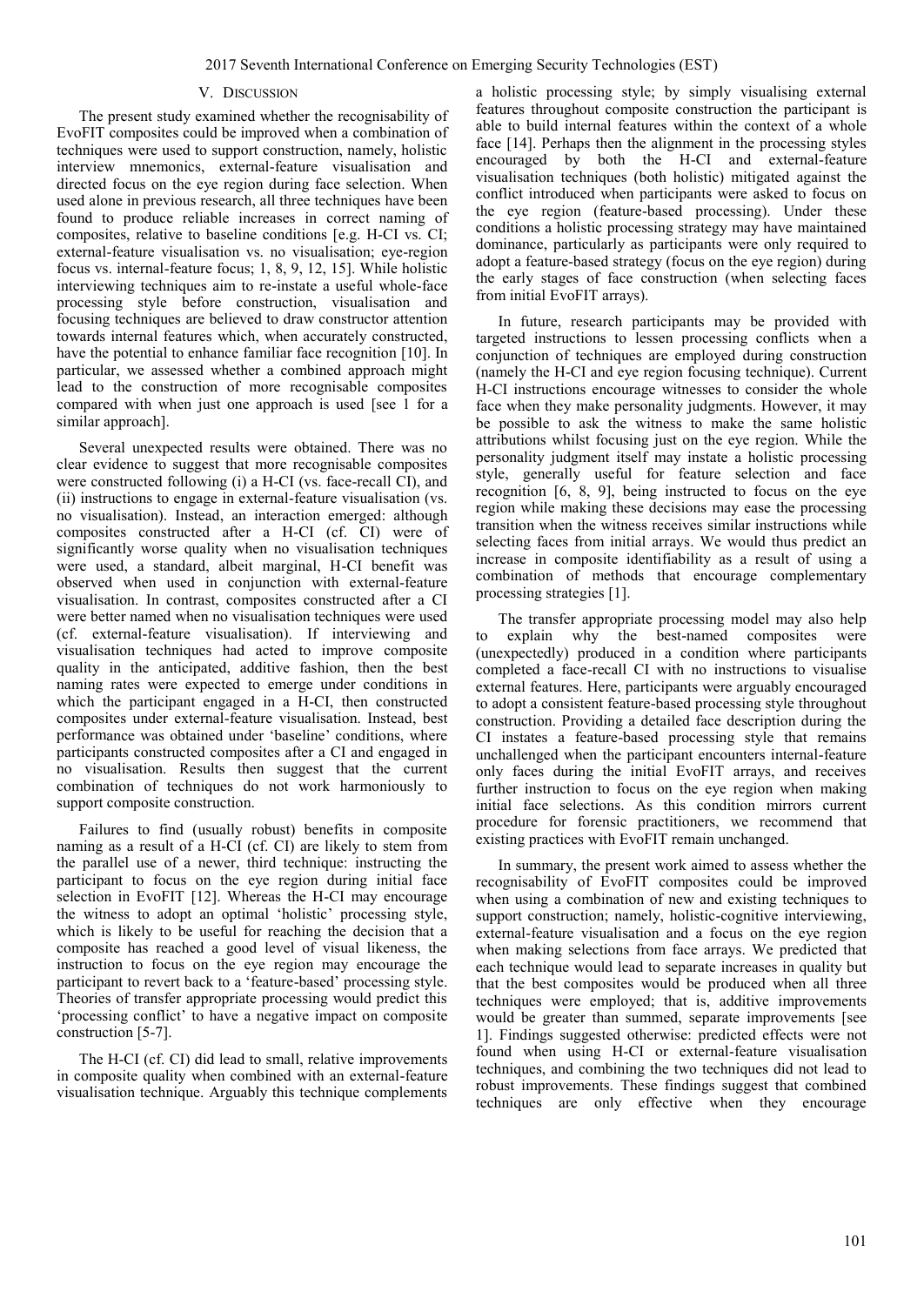# V. DISCUSSION

The present study examined whether the recognisability of EvoFIT composites could be improved when a combination of techniques were used to support construction, namely, holistic interview mnemonics, external-feature visualisation and directed focus on the eye region during face selection. When used alone in previous research, all three techniques have been found to produce reliable increases in correct naming of composites, relative to baseline conditions [e.g. H-CI vs. CI; external-feature visualisation vs. no visualisation; eye-region focus vs. internal-feature focus; 1, 8, 9, 12, 15]. While holistic interviewing techniques aim to re-instate a useful whole-face processing style before construction, visualisation and focusing techniques are believed to draw constructor attention towards internal features which, when accurately constructed, have the potential to enhance familiar face recognition [10]. In particular, we assessed whether a combined approach might lead to the construction of more recognisable composites compared with when just one approach is used [see 1 for a similar approach].

Several unexpected results were obtained. There was no clear evidence to suggest that more recognisable composites were constructed following (i) a H-CI (vs. face-recall CI), and (ii) instructions to engage in external-feature visualisation (vs. no visualisation). Instead, an interaction emerged: although composites constructed after a H-CI (cf. CI) were of significantly worse quality when no visualisation techniques were used, a standard, albeit marginal, H-CI benefit was observed when used in conjunction with external-feature visualisation. In contrast, composites constructed after a CI were better named when no visualisation techniques were used (cf. external-feature visualisation). If interviewing and visualisation techniques had acted to improve composite quality in the anticipated, additive fashion, then the best naming rates were expected to emerge under conditions in which the participant engaged in a H-CI, then constructed composites under external-feature visualisation. Instead, best performance was obtained under 'baseline' conditions, where participants constructed composites after a CI and engaged in no visualisation. Results then suggest that the current combination of techniques do not work harmoniously to support composite construction.

Failures to find (usually robust) benefits in composite naming as a result of a H-CI (cf. CI) are likely to stem from the parallel use of a newer, third technique: instructing the participant to focus on the eye region during initial face selection in EvoFIT [12]. Whereas the H-CI may encourage the witness to adopt an optimal 'holistic' processing style, which is likely to be useful for reaching the decision that a composite has reached a good level of visual likeness, the instruction to focus on the eye region may encourage the participant to revert back to a 'feature-based' processing style. Theories of transfer appropriate processing would predict this 'processing conflict' to have a negative impact on composite construction [5-7].

The H-CI (cf. CI) did lead to small, relative improvements in composite quality when combined with an external-feature visualisation technique. Arguably this technique complements a holistic processing style; by simply visualising external features throughout composite construction the participant is able to build internal features within the context of a whole face [14]. Perhaps then the alignment in the processing styles encouraged by both the H-CI and external-feature visualisation techniques (both holistic) mitigated against the conflict introduced when participants were asked to focus on the eye region (feature-based processing). Under these conditions a holistic processing strategy may have maintained dominance, particularly as participants were only required to adopt a feature-based strategy (focus on the eye region) during the early stages of face construction (when selecting faces from initial EvoFIT arrays).

In future, research participants may be provided with targeted instructions to lessen processing conflicts when a conjunction of techniques are employed during construction (namely the H-CI and eye region focusing technique). Current H-CI instructions encourage witnesses to consider the whole face when they make personality judgments. However, it may be possible to ask the witness to make the same holistic attributions whilst focusing just on the eye region. While the personality judgment itself may instate a holistic processing style, generally useful for feature selection and face recognition [6, 8, 9], being instructed to focus on the eye region while making these decisions may ease the processing transition when the witness receives similar instructions while selecting faces from initial arrays. We would thus predict an increase in composite identifiability as a result of using a combination of methods that encourage complementary processing strategies [1].

The transfer appropriate processing model may also help to explain why the best-named composites were (unexpectedly) produced in a condition where participants completed a face-recall CI with no instructions to visualise external features. Here, participants were arguably encouraged to adopt a consistent feature-based processing style throughout construction. Providing a detailed face description during the CI instates a feature-based processing style that remains unchallenged when the participant encounters internal-feature only faces during the initial EvoFIT arrays, and receives further instruction to focus on the eye region when making initial face selections. As this condition mirrors current procedure for forensic practitioners, we recommend that existing practices with EvoFIT remain unchanged.

In summary, the present work aimed to assess whether the recognisability of EvoFIT composites could be improved when using a combination of new and existing techniques to support construction; namely, holistic-cognitive interviewing, external-feature visualisation and a focus on the eye region when making selections from face arrays. We predicted that each technique would lead to separate increases in quality but that the best composites would be produced when all three techniques were employed; that is, additive improvements would be greater than summed, separate improvements [see 1]. Findings suggested otherwise: predicted effects were not found when using H-CI or external-feature visualisation techniques, and combining the two techniques did not lead to robust improvements. These findings suggest that combined techniques are only effective when they encourage